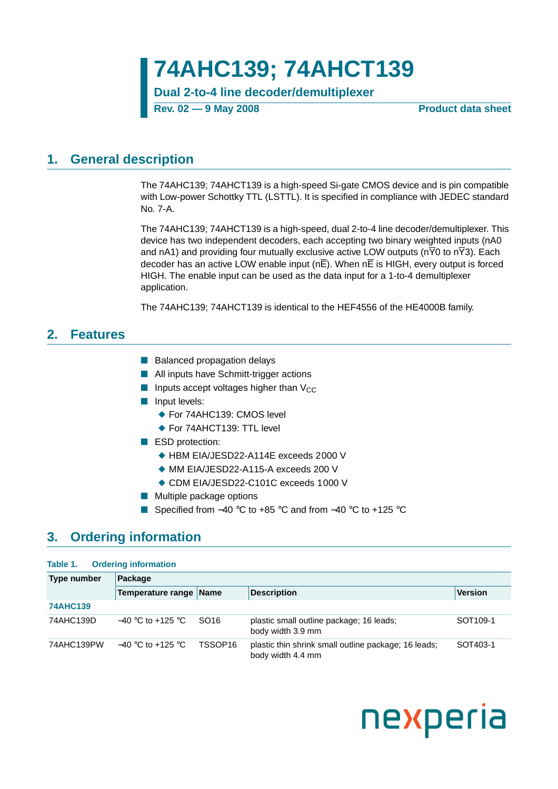# **74AHC139; 74AHCT139**

**Dual 2-to-4 line decoder/demultiplexer**

**Rev. 02 — 9 May 2008 Product data sheet**

### <span id="page-0-0"></span>**1. General description**

The 74AHC139; 74AHCT139 is a high-speed Si-gate CMOS device and is pin compatible with Low-power Schottky TTL (LSTTL). It is specified in compliance with JEDEC standard No. 7-A.

The 74AHC139; 74AHCT139 is a high-speed, dual 2-to-4 line decoder/demultiplexer. This device has two independent decoders, each accepting two binary weighted inputs (nA0 and nA1) and providing four mutually exclusive active LOW outputs ( $n\overline{Y}0$  to  $n\overline{Y}3$ ). Each decoder has an active LOW enable input (nE). When nE is HIGH, every output is forced HIGH. The enable input can be used as the data input for a 1-to-4 demultiplexer application.

The 74AHC139; 74AHCT139 is identical to the HEF4556 of the HE4000B family.

### <span id="page-0-1"></span>**2. Features**

- Balanced propagation delays
- All inputs have Schmitt-trigger actions
- **■** Inputs accept voltages higher than  $V_{CC}$
- Input levels:
	- ◆ For 74AHC139: CMOS level
	- ◆ For 74AHCT139: TTL level
- ESD protection:
	- ◆ HBM EIA/JESD22-A114E exceeds 2000 V
	- ◆ MM FIA/JESD22-A115-A exceeds 200 V
	- ◆ CDM EIA/JESD22-C101C exceeds 1000 V
- Multiple package options
- Specified from –40 °C to +85 °C and from –40 °C to +125 °C

### <span id="page-0-2"></span>**3. Ordering information**

#### **Table 1. Ordering information**

| Type number     | Package                |                  |                                                                           |                      |  |  |  |  |  |
|-----------------|------------------------|------------------|---------------------------------------------------------------------------|----------------------|--|--|--|--|--|
|                 | Temperature range Name |                  | <b>Description</b>                                                        | <b>Version</b>       |  |  |  |  |  |
| <b>74AHC139</b> |                        |                  |                                                                           |                      |  |  |  |  |  |
| 74AHC139D       | $-40$ °C to +125 °C    | SO <sub>16</sub> | plastic small outline package; 16 leads;<br>body width 3.9 mm             | SOT <sub>109-1</sub> |  |  |  |  |  |
| 74AHC139PW      | $-40$ °C to +125 °C    | TSSOP16          | plastic thin shrink small outline package; 16 leads;<br>body width 4.4 mm | SOT403-1             |  |  |  |  |  |

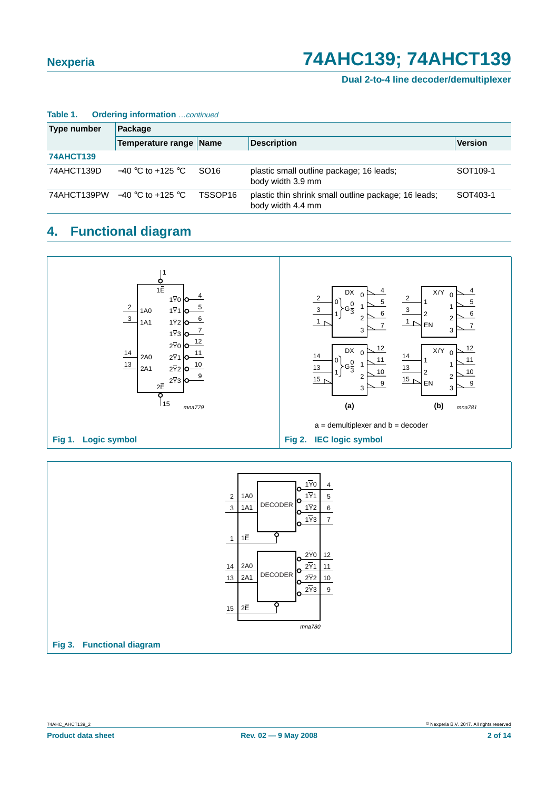#### **Dual 2-to-4 line decoder/demultiplexer**

| Type number      | Package                                        |                     |                                                                           |                      |  |  |  |  |  |  |
|------------------|------------------------------------------------|---------------------|---------------------------------------------------------------------------|----------------------|--|--|--|--|--|--|
|                  | Temperature range Name                         |                     | <b>Description</b>                                                        | <b>Version</b>       |  |  |  |  |  |  |
| <b>74AHCT139</b> |                                                |                     |                                                                           |                      |  |  |  |  |  |  |
| 74AHCT139D       | $-40$ °C to +125 °C                            | SO <sub>16</sub>    | plastic small outline package; 16 leads;<br>body width 3.9 mm             | SOT <sub>109-1</sub> |  |  |  |  |  |  |
|                  | 74AHCT139PW $-40\degree$ C to +125 $\degree$ C | TSSOP <sub>16</sub> | plastic thin shrink small outline package; 16 leads;<br>body width 4.4 mm | SOT403-1             |  |  |  |  |  |  |

#### **Table 1. Ordering information** continued

### <span id="page-1-0"></span>**4. Functional diagram**



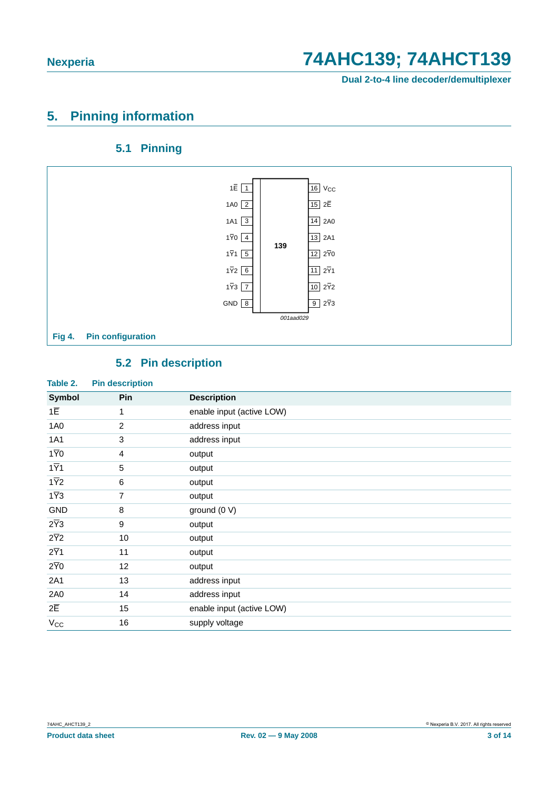**Dual 2-to-4 line decoder/demultiplexer**

## <span id="page-2-0"></span>**5. Pinning information**

### **5.1 Pinning**

<span id="page-2-1"></span>

### **5.2 Pin description**

<span id="page-2-2"></span>

| Table 2.         | <b>Pin description</b> |                           |
|------------------|------------------------|---------------------------|
| <b>Symbol</b>    | Pin                    | <b>Description</b>        |
| $1\overline{E}$  | 1                      | enable input (active LOW) |
| 1A0              | $\overline{2}$         | address input             |
| 1A1              | 3                      | address input             |
| $1\overline{Y}0$ | $\overline{4}$         | output                    |
| $1\overline{Y}1$ | $\mathbf 5$            | output                    |
| $1\overline{Y}2$ | 6                      | output                    |
| $1\overline{Y}3$ | 7                      | output                    |
| GND              | 8                      | ground (0 V)              |
| $2\overline{Y}3$ | 9                      | output                    |
| $2\overline{Y}2$ | 10                     | output                    |
| $2\overline{Y}1$ | 11                     | output                    |
| $2\overline{Y}0$ | 12                     | output                    |
| 2A1              | 13                     | address input             |
| 2A0              | 14                     | address input             |
| $2\overline{E}$  | 15                     | enable input (active LOW) |
| $V_{CC}$         | 16                     | supply voltage            |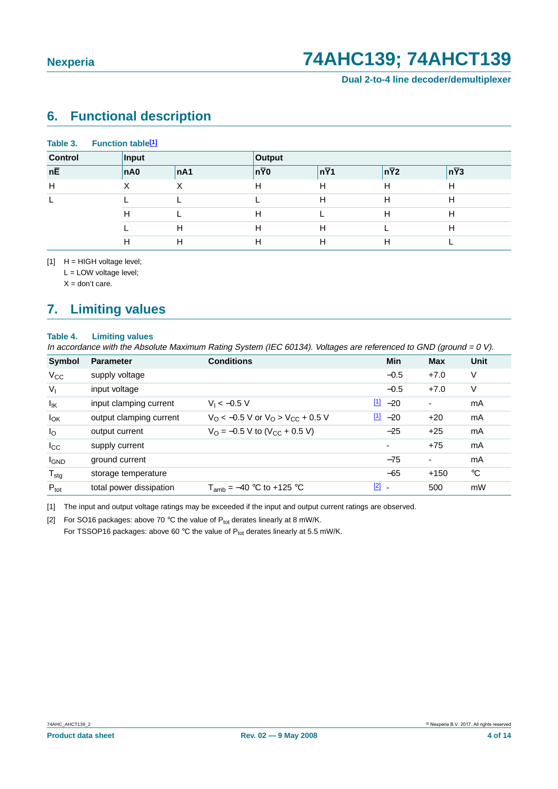**Dual 2-to-4 line decoder/demultiplexer**

### <span id="page-3-3"></span>**6. Functional description**

| <b>Control</b>  | Input |     | Output            |                  |             |             |  |
|-----------------|-------|-----|-------------------|------------------|-------------|-------------|--|
| $n\overline{E}$ | nA0   | nA1 | $n\overline{Y}$ 0 | $n\overline{Y}1$ | $n\bar{Y}2$ | $n\bar{Y}3$ |  |
| H               |       |     | н                 | Н                | H           | H           |  |
|                 |       |     |                   | Н                | H           |             |  |
|                 | Н     |     | Н                 |                  | H           | н           |  |
|                 |       | Н   | н                 | H                |             | H           |  |
|                 |       | н   | н                 | Н                | Н           |             |  |

<span id="page-3-0"></span> $[1]$  H = HIGH voltage level;

L = LOW voltage level;

 $X =$  don't care.

## <span id="page-3-4"></span>**7. Limiting values**

#### **Table 4. Limiting values**

In accordance with the Absolute Maximum Rating System (IEC 60134). Voltages are referenced to GND (ground =  $0 \text{ V}$ ).

| Symbol           | <b>Parameter</b>        | <b>Conditions</b>                                          | Min                                 | Max            | Unit |
|------------------|-------------------------|------------------------------------------------------------|-------------------------------------|----------------|------|
| $V_{CC}$         | supply voltage          |                                                            | $-0.5$                              | $+7.0$         | ٧    |
| $V_{I}$          | input voltage           |                                                            | $-0.5$                              | $+7.0$         | ٧    |
| $I_{IK}$         | input clamping current  | $V_1 < -0.5 V$                                             | $\boxed{1}$<br>$-20$                | $\blacksquare$ | mA   |
| $I_{OK}$         | output clamping current | $V_{\rm O}$ < -0.5 V or $V_{\rm O}$ > $V_{\rm CC}$ + 0.5 V | $\frac{[1]}{2}$ -20                 | $+20$          | mA   |
| $I_{\rm O}$      | output current          | $V_{\text{O}} = -0.5$ V to (V <sub>CC</sub> + 0.5 V)       | $-25$                               | $+25$          | mA   |
| $I_{\rm CC}$     | supply current          |                                                            |                                     | $+75$          | mA   |
| <b>I</b> GND     | ground current          |                                                            | $-75$                               | $\blacksquare$ | mA   |
| $T_{\text{stg}}$ | storage temperature     |                                                            | $-65$                               | $+150$         | °C   |
| $P_{\text{tot}}$ | total power dissipation | $T_{amb} = -40$ °C to +125 °C                              | $\begin{bmatrix} 2 \end{bmatrix}$ . | 500            | mW   |

<span id="page-3-1"></span>[1] The input and output voltage ratings may be exceeded if the input and output current ratings are observed.

<span id="page-3-2"></span>[2] For SO16 packages: above 70 °C the value of  $P_{tot}$  derates linearly at 8 mW/K.

For TSSOP16 packages: above 60 °C the value of  $P_{tot}$  derates linearly at 5.5 mW/K.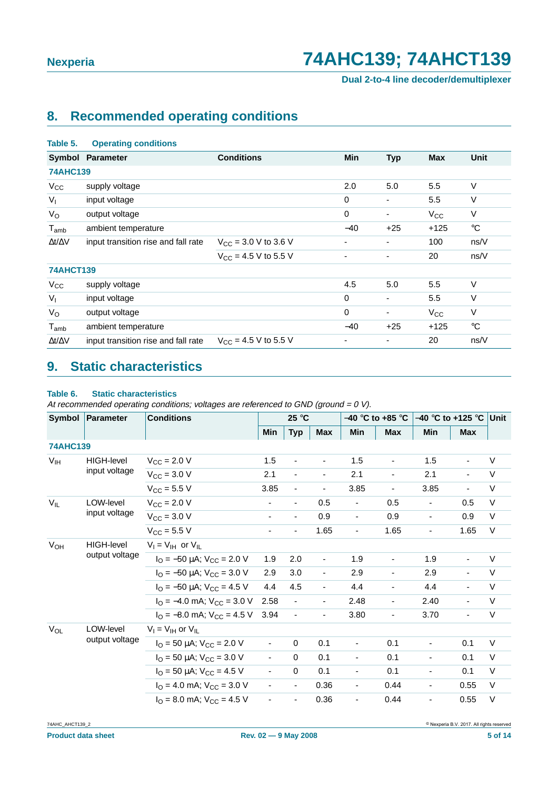**Dual 2-to-4 line decoder/demultiplexer**

## <span id="page-4-1"></span>**8. Recommended operating conditions**

| raple 5.            | <b>Operating conditions</b>         |                           |       |                          |              |             |
|---------------------|-------------------------------------|---------------------------|-------|--------------------------|--------------|-------------|
|                     | <b>Symbol Parameter</b>             | <b>Conditions</b>         | Min   | <b>Typ</b>               | <b>Max</b>   | Unit        |
| <b>74AHC139</b>     |                                     |                           |       |                          |              |             |
| $V_{\rm CC}$        | supply voltage                      |                           | 2.0   | 5.0                      | 5.5          | V           |
| $V_{1}$             | input voltage                       |                           | 0     | $\overline{\phantom{a}}$ | 5.5          | V           |
| $V_{\rm O}$         | output voltage                      |                           | 0     |                          | $V_{\rm CC}$ | V           |
| $T_{amb}$           | ambient temperature                 |                           | $-40$ | $+25$                    | $+125$       | $^{\circ}C$ |
| $\Delta t/\Delta V$ | input transition rise and fall rate | $V_{CC}$ = 3.0 V to 3.6 V |       |                          | 100          | ns/V        |
|                     |                                     | $V_{CC}$ = 4.5 V to 5.5 V | ٠     |                          | 20           | ns/V        |
| <b>74AHCT139</b>    |                                     |                           |       |                          |              |             |
| $V_{\rm CC}$        | supply voltage                      |                           | 4.5   | 5.0                      | 5.5          | V           |
| $V_{I}$             | input voltage                       |                           | 0     |                          | 5.5          | $\vee$      |
| $V_{\rm O}$         | output voltage                      |                           | 0     |                          | $V_{\rm CC}$ | V           |
| $T_{\mathsf{amb}}$  | ambient temperature                 |                           | $-40$ | $+25$                    | $+125$       | $^{\circ}C$ |
| $\Delta t/\Delta V$ | input transition rise and fall rate | $V_{CC}$ = 4.5 V to 5.5 V | ٠     |                          | 20           | ns/V        |
|                     |                                     |                           |       |                          |              |             |

## <span id="page-4-2"></span>**9. Static characteristics**

#### <span id="page-4-0"></span>**Table 6. Static characteristics**

**Table 5. Operating conditions**

At recommended operating conditions; voltages are referenced to GND (ground =  $0$  V).

| Symbol<br><b>Parameter</b> |                   | <b>Conditions</b>                                                  |                | 25 °C                    |                              | –40 °C to +85 °C         |                          | $-40$ °C to +125 °C      |                | <b>Unit</b> |
|----------------------------|-------------------|--------------------------------------------------------------------|----------------|--------------------------|------------------------------|--------------------------|--------------------------|--------------------------|----------------|-------------|
|                            |                   |                                                                    | <b>Min</b>     | <b>Typ</b>               | <b>Max</b>                   | <b>Min</b>               | <b>Max</b>               | Min                      | <b>Max</b>     |             |
| <b>74AHC139</b>            |                   |                                                                    |                |                          |                              |                          |                          |                          |                |             |
| $V_{\text{IH}}$            | HIGH-level        | $V_{CC}$ = 2.0 V                                                   | 1.5            | $\overline{\phantom{a}}$ | $\qquad \qquad \blacksquare$ | 1.5                      | $\overline{\phantom{a}}$ | 1.5                      | ä,             | V           |
|                            | input voltage     | $V_{CC}$ = 3.0 V                                                   | 2.1            | ä,                       | $\overline{\phantom{a}}$     | 2.1                      | $\overline{\phantom{a}}$ | 2.1                      | $\blacksquare$ | $\vee$      |
|                            |                   | $V_{CC}$ = 5.5 V                                                   | 3.85           | ÷,                       | $\blacksquare$               | 3.85                     | $\frac{1}{2}$            | 3.85                     | $\blacksquare$ | $\vee$      |
| $V_{IL}$                   | LOW-level         | $V_{CC}$ = 2.0 V                                                   |                | $\overline{\phantom{a}}$ | 0.5                          | $\overline{\phantom{a}}$ | 0.5                      | $\overline{\phantom{a}}$ | 0.5            | $\vee$      |
|                            | input voltage     | $V_{CC}$ = 3.0 V                                                   |                |                          | 0.9                          |                          | 0.9                      | $\overline{\phantom{a}}$ | 0.9            | $\vee$      |
|                            |                   | $V_{CC}$ = 5.5 V                                                   |                | $\overline{\phantom{a}}$ | 1.65                         | $\overline{\phantom{0}}$ | 1.65                     | $\overline{\phantom{a}}$ | 1.65           | $\vee$      |
| $V_{OH}$                   | <b>HIGH-level</b> | $V_1 = V_{1H}$ or $V_{II}$                                         |                |                          |                              |                          |                          |                          |                |             |
|                            | output voltage    | $I_{\text{O}} = -50 \mu\text{A}$ ; $V_{\text{CC}} = 2.0 \text{ V}$ | 1.9            | 2.0                      | $\blacksquare$               | 1.9                      |                          | 1.9                      | ÷,             | V           |
|                            |                   | $I_{\text{O}} = -50 \mu\text{A}$ ; $V_{\text{CC}} = 3.0 \text{ V}$ | 2.9            | 3.0                      | $\overline{\phantom{a}}$     | 2.9                      | $\blacksquare$           | 2.9                      | $\blacksquare$ | $\vee$      |
|                            |                   | $I_{\text{O}} = -50 \mu\text{A}$ ; $V_{\text{CC}} = 4.5 \text{ V}$ | 4.4            | 4.5                      | $\blacksquare$               | 4.4                      |                          | 4.4                      | ÷,             | $\vee$      |
|                            |                   | $I_{\Omega} = -4.0$ mA; $V_{\text{CC}} = 3.0$ V                    | 2.58           | ÷,                       | $\blacksquare$               | 2.48                     | $\blacksquare$           | 2.40                     | $\blacksquare$ | $\vee$      |
|                            |                   | $I_{\Omega}$ = -8.0 mA; $V_{\text{CC}}$ = 4.5 V                    | 3.94           | ä,                       |                              | 3.80                     | ä,                       | 3.70                     | $\blacksquare$ | $\vee$      |
| $V_{OL}$                   | LOW-level         | $V_1 = V_{1H}$ or $V_{1L}$                                         |                |                          |                              |                          |                          |                          |                |             |
|                            | output voltage    | $I_{\text{O}}$ = 50 µA; $V_{\text{CC}}$ = 2.0 V                    |                | $\mathbf 0$              | 0.1                          |                          | 0.1                      |                          | 0.1            | V           |
|                            |                   | $I_{\text{O}}$ = 50 µA; $V_{\text{CC}}$ = 3.0 V                    | $\blacksquare$ | $\Omega$                 | 0.1                          | ۰.                       | 0.1                      |                          | 0.1            | $\vee$      |
|                            |                   | $I_{\Omega}$ = 50 µA; $V_{\text{CC}}$ = 4.5 V                      | $\blacksquare$ | $\Omega$                 | 0.1                          | -                        | 0.1                      | $\overline{\phantom{a}}$ | 0.1            | $\vee$      |
|                            |                   | $I_{\Omega}$ = 4.0 mA; $V_{\text{CC}}$ = 3.0 V                     | ä,             | ÷.                       | 0.36                         | ÷,                       | 0.44                     | ä,                       | 0.55           | $\vee$      |
|                            |                   | $IO$ = 8.0 mA; $VCC$ = 4.5 V                                       | $\blacksquare$ | $\blacksquare$           | 0.36                         | ÷,                       | 0.44                     | $\blacksquare$           | 0.55           | $\vee$      |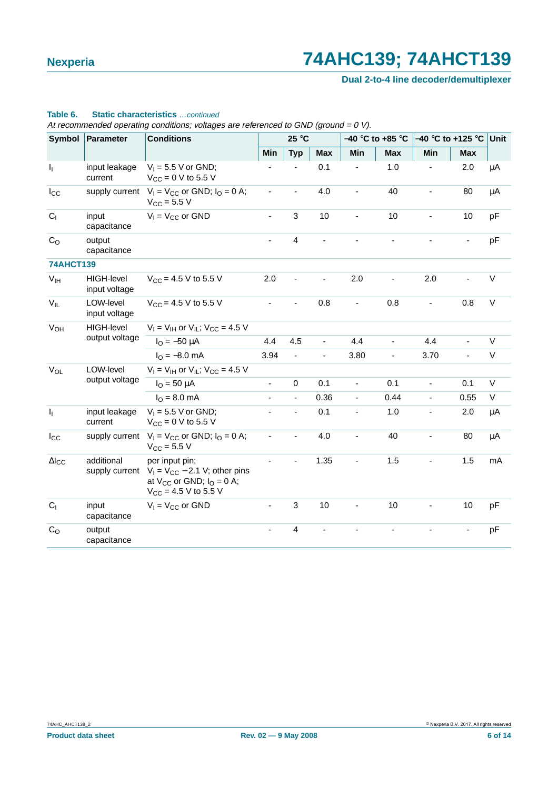**Dual 2-to-4 line decoder/demultiplexer**

#### **Table 6. Static characteristics** …continued

At recommended operating conditions; voltages are referenced to GND (ground =  $0$  V).

| Symbol           | Parameter                          | <b>Conditions</b>                                                                                                       |                              | 25 °C                    |                |                          | $-40$ °C to +85 °C | –40 °C to +125 °C        | <b>Unit</b> |         |
|------------------|------------------------------------|-------------------------------------------------------------------------------------------------------------------------|------------------------------|--------------------------|----------------|--------------------------|--------------------|--------------------------|-------------|---------|
|                  |                                    |                                                                                                                         | Min                          | <b>Typ</b>               | <b>Max</b>     | Min                      | <b>Max</b>         | Min                      | <b>Max</b>  |         |
| $\mathsf{I}_1$   | input leakage<br>current           | $V_1 = 5.5$ V or GND;<br>$V_{CC} = 0 V$ to 5.5 V                                                                        |                              |                          | 0.1            |                          | 1.0                |                          | 2.0         | $\mu$ A |
| $I_{\rm CC}$     | supply current                     | $V_1 = V_{CC}$ or GND; $I_Q = 0$ A;<br>$V_{CC} = 5.5 V$                                                                 |                              | ۰                        | 4.0            |                          | 40                 |                          | 80          | $\mu$ A |
| C <sub>1</sub>   | input<br>capacitance               | $V_1 = V_{CC}$ or GND                                                                                                   | $\blacksquare$               | 3                        | 10             | $\blacksquare$           | 10                 | $\blacksquare$           | 10          | pF      |
| $C_{\rm O}$      | output<br>capacitance              |                                                                                                                         |                              | $\overline{\mathbf{4}}$  |                |                          |                    |                          |             | pF      |
| <b>74AHCT139</b> |                                    |                                                                                                                         |                              |                          |                |                          |                    |                          |             |         |
| V <sub>IH</sub>  | <b>HIGH-level</b><br>input voltage | $V_{CC}$ = 4.5 V to 5.5 V                                                                                               | 2.0                          |                          |                | 2.0                      |                    | 2.0                      |             | $\vee$  |
| $V_{IL}$         | LOW-level<br>input voltage         | $V_{CC}$ = 4.5 V to 5.5 V                                                                                               | $\qquad \qquad \blacksquare$ | ٠                        | 0.8            |                          | 0.8                |                          | 0.8         | $\vee$  |
| V <sub>OH</sub>  | HIGH-level                         | $V_I = V_{IH}$ or $V_{IL}$ ; $V_{CC} = 4.5$ V                                                                           |                              |                          |                |                          |                    |                          |             |         |
|                  | output voltage                     | $I_{\Omega} = -50 \mu A$                                                                                                | 4.4                          | 4.5                      | $\blacksquare$ | 4.4                      | ÷,                 | 4.4                      |             | V       |
|                  |                                    | $I_{\Omega} = -8.0$ mA                                                                                                  | 3.94                         | $\frac{1}{2}$            | ÷,             | 3.80                     | $\blacksquare$     | 3.70                     | ä,          | $\vee$  |
| $V_{OL}$         | LOW-level                          | $V_1 = V_{1H}$ or $V_{1L}$ ; $V_{CC} = 4.5$ V                                                                           |                              |                          |                |                          |                    |                          |             |         |
|                  | output voltage                     | $I_{O} = 50 \mu A$                                                                                                      | ÷,                           | $\pmb{0}$                | 0.1            | ÷,                       | 0.1                | $\blacksquare$           | 0.1         | $\vee$  |
|                  |                                    | $I_{\Omega} = 8.0$ mA                                                                                                   | $\overline{\phantom{a}}$     | ۰                        | 0.36           | $\overline{\phantom{a}}$ | 0.44               | $\overline{\phantom{a}}$ | 0.55        | V       |
| $\mathbf{l}_1$   | input leakage<br>current           | $V_1 = 5.5$ V or GND;<br>$V_{CC} = 0 V$ to 5.5 V                                                                        |                              | ÷,                       | 0.1            | ÷,                       | 1.0                |                          | 2.0         | $\mu$ A |
| $I_{\rm CC}$     | supply current                     | $V_1 = V_{CC}$ or GND; $I_O = 0$ A;<br>$V_{\text{CC}} = 5.5 V$                                                          |                              | $\overline{\phantom{0}}$ | 4.0            |                          | 40                 |                          | 80          | μA      |
| $\Delta I_{CC}$  | additional<br>supply current       | per input pin;<br>$V_1 = V_{CC} - 2.1$ V; other pins<br>at $V_{CC}$ or GND; $I_{O} = 0$ A;<br>$V_{CC}$ = 4.5 V to 5.5 V | L.                           |                          | 1.35           | $\blacksquare$           | 1.5                |                          | 1.5         | mA      |
| C <sub>1</sub>   | input<br>capacitance               | $V_1 = V_{CC}$ or GND                                                                                                   |                              | 3                        | 10             |                          | 10                 |                          | 10          | pF      |
| C <sub>O</sub>   | output<br>capacitance              |                                                                                                                         |                              | 4                        |                |                          |                    |                          |             | pF      |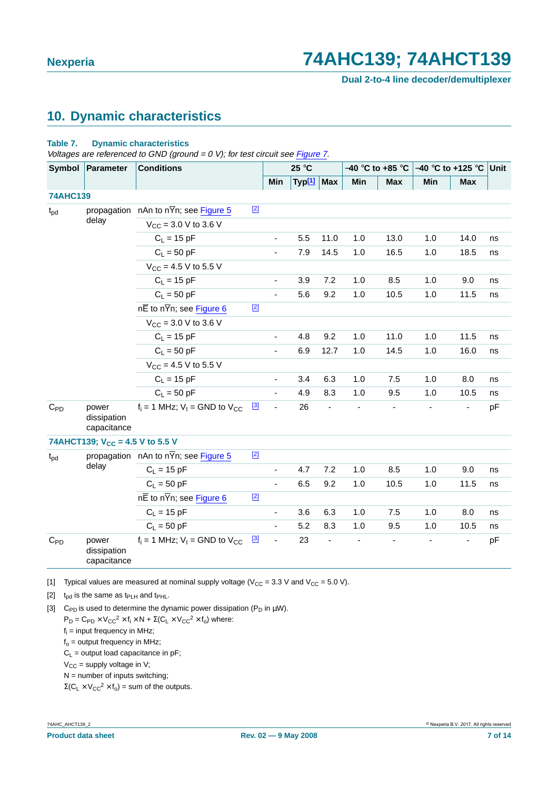**Dual 2-to-4 line decoder/demultiplexer**

### <span id="page-6-3"></span>**10. Dynamic characteristics**

#### **Table 7. Dynamic characteristics**

Voltages are referenced to GND (ground =  $0$  V); for test circuit see [Figure](#page-8-0) 7.

| Symbol          | <b>Parameter</b>                            | <b>Conditions</b>                                    |       |                              | 25 °C              |                          | –40 °C to +85 °C |            | $-40$ °C to +125 °C Unit |                |    |
|-----------------|---------------------------------------------|------------------------------------------------------|-------|------------------------------|--------------------|--------------------------|------------------|------------|--------------------------|----------------|----|
|                 |                                             |                                                      |       | Min                          | Typ <sup>[1]</sup> | <b>Max</b>               | Min              | <b>Max</b> | Min                      | <b>Max</b>     |    |
| <b>74AHC139</b> |                                             |                                                      |       |                              |                    |                          |                  |            |                          |                |    |
| $t_{\rm pd}$    |                                             | propagation $nAn$ to $n\overline{Y}n$ ; see Figure 5 | $[2]$ |                              |                    |                          |                  |            |                          |                |    |
|                 | delay                                       | $V_{CC}$ = 3.0 V to 3.6 V                            |       |                              |                    |                          |                  |            |                          |                |    |
|                 |                                             | $C_L = 15$ pF                                        |       | $\overline{\phantom{a}}$     | 5.5                | 11.0                     | 1.0              | 13.0       | 1.0                      | 14.0           | ns |
|                 |                                             | $C_L = 50$ pF                                        |       | $\blacksquare$               | 7.9                | 14.5                     | 1.0              | 16.5       | 1.0                      | 18.5           | ns |
|                 |                                             | $V_{CC}$ = 4.5 V to 5.5 V                            |       |                              |                    |                          |                  |            |                          |                |    |
|                 |                                             | $C_L = 15$ pF                                        |       | $\overline{\phantom{a}}$     | 3.9                | 7.2                      | 1.0              | 8.5        | 1.0                      | 9.0            | ns |
|                 |                                             | $C_1 = 50$ pF                                        |       | $\blacksquare$               | 5.6                | 9.2                      | 1.0              | 10.5       | 1.0                      | 11.5           | ns |
|                 |                                             | $n\overline{E}$ to $n\overline{Y}n$ ; see Figure 6   | $[2]$ |                              |                    |                          |                  |            |                          |                |    |
|                 |                                             | $V_{CC}$ = 3.0 V to 3.6 V                            |       |                              |                    |                          |                  |            |                          |                |    |
|                 |                                             | $C_L = 15$ pF                                        |       | $\overline{\phantom{a}}$     | 4.8                | 9.2                      | 1.0              | 11.0       | 1.0                      | 11.5           | ns |
|                 |                                             | $C_L = 50$ pF                                        |       |                              | 6.9                | 12.7                     | 1.0              | 14.5       | 1.0                      | 16.0           | ns |
|                 |                                             | $V_{CC}$ = 4.5 V to 5.5 V                            |       |                              |                    |                          |                  |            |                          |                |    |
|                 |                                             | $C_L = 15$ pF                                        |       | $\overline{\phantom{a}}$     | 3.4                | 6.3                      | 1.0              | 7.5        | 1.0                      | 8.0            | ns |
|                 |                                             | $C_1 = 50$ pF                                        |       | $\blacksquare$               | 4.9                | 8.3                      | 1.0              | 9.5        | 1.0                      | 10.5           | ns |
| $C_{PD}$        | power<br>dissipation<br>capacitance         | $f_i = 1$ MHz; $V_i =$ GND to $V_{CC}$               | $[3]$ | $\blacksquare$               | 26                 | $\overline{\phantom{0}}$ |                  |            |                          | $\blacksquare$ | pF |
|                 | 74AHCT139; V <sub>CC</sub> = 4.5 V to 5.5 V |                                                      |       |                              |                    |                          |                  |            |                          |                |    |
| $t_{\rm pd}$    |                                             | propagation nAn to n $\overline{Y}$ n; see Figure 5  | $[2]$ |                              |                    |                          |                  |            |                          |                |    |
|                 | delay                                       | $C_L = 15$ pF                                        |       |                              | 4.7                | 7.2                      | 1.0              | 8.5        | 1.0                      | 9.0            | ns |
|                 |                                             | $C_L = 50$ pF                                        |       | $\blacksquare$               | 6.5                | 9.2                      | 1.0              | 10.5       | 1.0                      | 11.5           | ns |
|                 |                                             | $n\overline{E}$ to $n\overline{Y}n$ ; see Figure 6   | $[2]$ |                              |                    |                          |                  |            |                          |                |    |
|                 |                                             | $C_L = 15$ pF                                        |       | $\overline{\phantom{a}}$     | 3.6                | 6.3                      | 1.0              | 7.5        | 1.0                      | 8.0            | ns |
|                 |                                             | $C_L = 50$ pF                                        |       |                              | 5.2                | 8.3                      | 1.0              | 9.5        | 1.0                      | 10.5           | ns |
| $C_{PD}$        | power<br>dissipation<br>capacitance         | $f_i = 1$ MHz; $V_i =$ GND to $V_{CC}$               | [3]   | $\qquad \qquad \blacksquare$ | 23                 | $\overline{a}$           |                  |            |                          |                | pF |

<span id="page-6-0"></span>[1] Typical values are measured at nominal supply voltage ( $V_{CC}$  = 3.3 V and  $V_{CC}$  = 5.0 V).

<span id="page-6-1"></span>[2]  $t_{pd}$  is the same as  $t_{PLH}$  and  $t_{PHL}$ .

<span id="page-6-2"></span>[3] C<sub>PD</sub> is used to determine the dynamic power dissipation (P<sub>D</sub> in  $\mu$ W).

 $P_D = C_{PD} \times V_{CC}^2 \times f_i \times N + \Sigma (C_L \times V_{CC}^2 \times f_o)$  where:

 $f_i$  = input frequency in MHz;

 $f_0$  = output frequency in MHz;

 $C_1$  = output load capacitance in pF;

 $V_{CC}$  = supply voltage in V;

 $N =$  number of inputs switching;

 $\Sigma(C_L \times V_{CC}^2 \times f_0) =$  sum of the outputs.

74AHC\_AHCT139\_2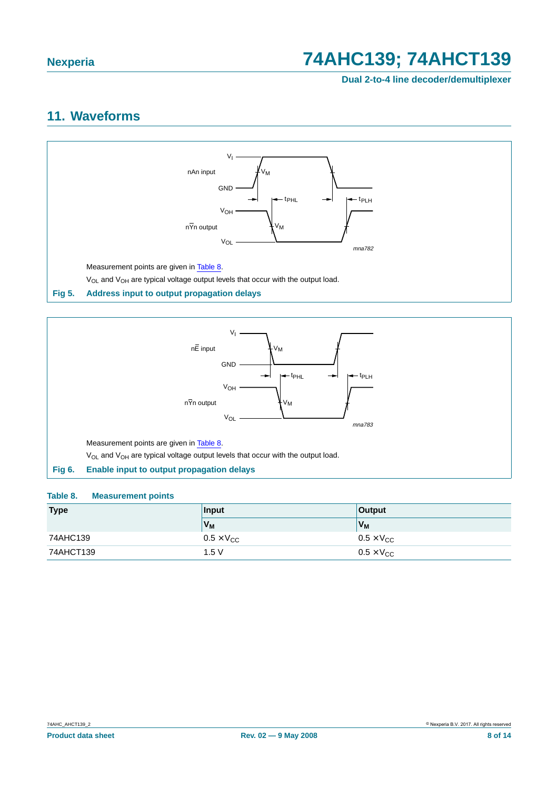**Dual 2-to-4 line decoder/demultiplexer**

### <span id="page-7-3"></span>**11. Waveforms**



<span id="page-7-0"></span>

#### <span id="page-7-2"></span><span id="page-7-1"></span>**Table 8. Measurement points**

| <b>Type</b> | Input                      | <b>Output</b>           |  |
|-------------|----------------------------|-------------------------|--|
|             | V <sub>M</sub>             | V <sub>M</sub>          |  |
| 74AHC139    | $0.5 \times V_{\text{CC}}$ | $0.5 \times V_{CC}$     |  |
| 74AHCT139   | 1.5V                       | $0.5 \times V_{\rm CC}$ |  |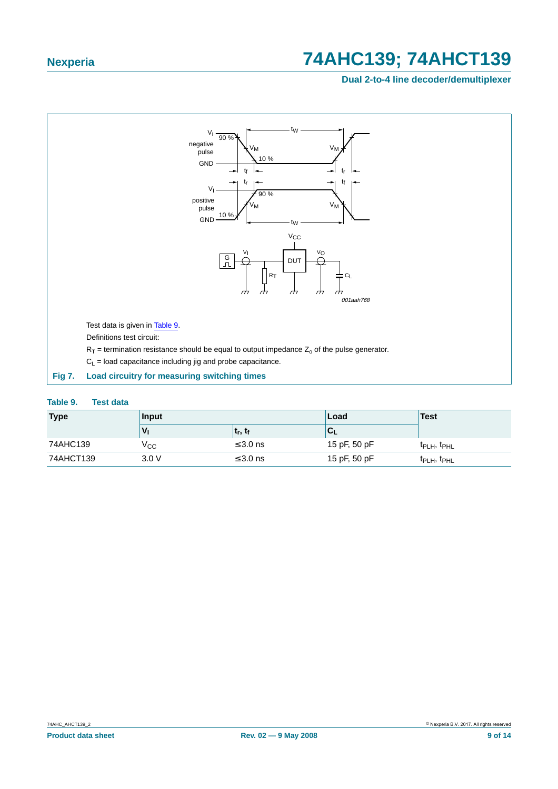**Dual 2-to-4 line decoder/demultiplexer**



#### <span id="page-8-1"></span><span id="page-8-0"></span>**Table 9. Test data**

| <b>Type</b> | Input |                                 | Load         | Test                                |
|-------------|-------|---------------------------------|--------------|-------------------------------------|
|             |       | t <sub>r</sub> , t <sub>f</sub> | `UL          |                                     |
| 74AHC139    | Vcc   | $\leq 3.0$ ns                   | 15 pF, 50 pF | t <sub>PLH</sub> , t <sub>PHL</sub> |
| 74AHCT139   | 3.0V  | $\leq$ 3.0 ns                   | 15 pF, 50 pF | t <sub>PLH</sub> , t <sub>PHL</sub> |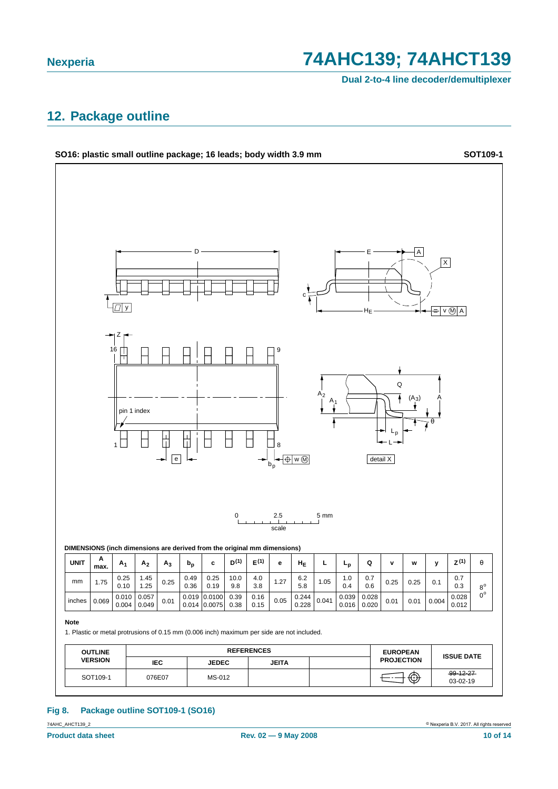**Dual 2-to-4 line decoder/demultiplexer**

### <span id="page-9-0"></span>**12. Package outline**



#### **Fig 8. Package outline SOT109-1 (SO16)**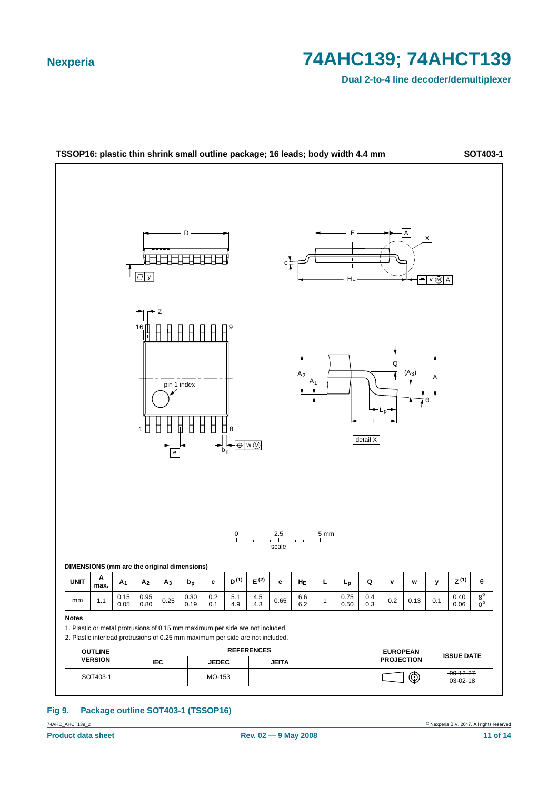**Dual 2-to-4 line decoder/demultiplexer**



#### **Fig 9. Package outline SOT403-1 (TSSOP16)**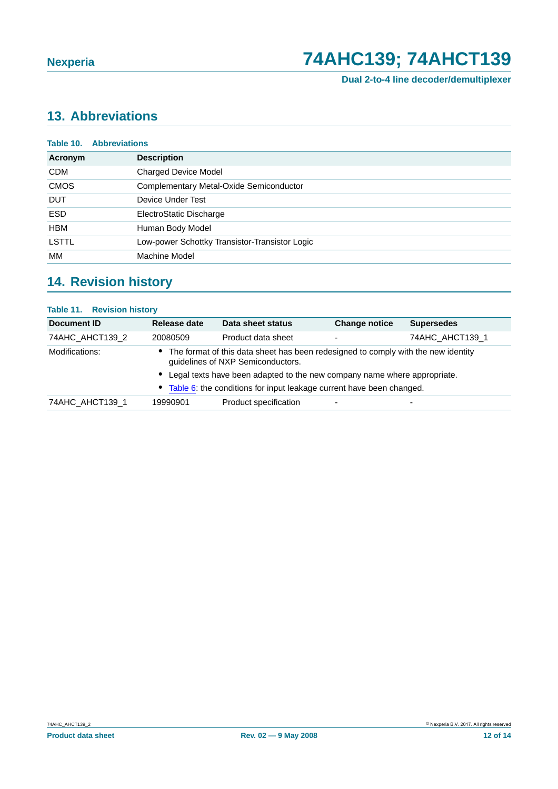**Dual 2-to-4 line decoder/demultiplexer**

## <span id="page-11-0"></span>**13. Abbreviations**

| <b>Abbreviations</b><br>Table 10. |                                                |  |  |  |
|-----------------------------------|------------------------------------------------|--|--|--|
| Acronym                           | <b>Description</b>                             |  |  |  |
| <b>CDM</b>                        | <b>Charged Device Model</b>                    |  |  |  |
| <b>CMOS</b>                       | Complementary Metal-Oxide Semiconductor        |  |  |  |
| <b>DUT</b>                        | Device Under Test                              |  |  |  |
| <b>ESD</b>                        | ElectroStatic Discharge                        |  |  |  |
| <b>HBM</b>                        | Human Body Model                               |  |  |  |
| <b>LSTTL</b>                      | Low-power Schottky Transistor-Transistor Logic |  |  |  |
| MМ                                | Machine Model                                  |  |  |  |

## <span id="page-11-1"></span>**14. Revision history**

#### **Table 11. Revision history**

| Document ID     | Release date                                                                                                           | Data sheet status                                                        | <b>Change notice</b> | <b>Supersedes</b>        |  |
|-----------------|------------------------------------------------------------------------------------------------------------------------|--------------------------------------------------------------------------|----------------------|--------------------------|--|
| 74AHC_AHCT139_2 | 20080509                                                                                                               | Product data sheet                                                       | ٠                    | 74AHC AHCT139 1          |  |
| Modifications:  | The format of this data sheet has been redesigned to comply with the new identity<br>guidelines of NXP Semiconductors. |                                                                          |                      |                          |  |
|                 |                                                                                                                        | Legal texts have been adapted to the new company name where appropriate. |                      |                          |  |
|                 |                                                                                                                        | Table 6: the conditions for input leakage current have been changed.     |                      |                          |  |
| 74AHC AHCT139 1 | 19990901                                                                                                               | Product specification                                                    | -                    | $\overline{\phantom{0}}$ |  |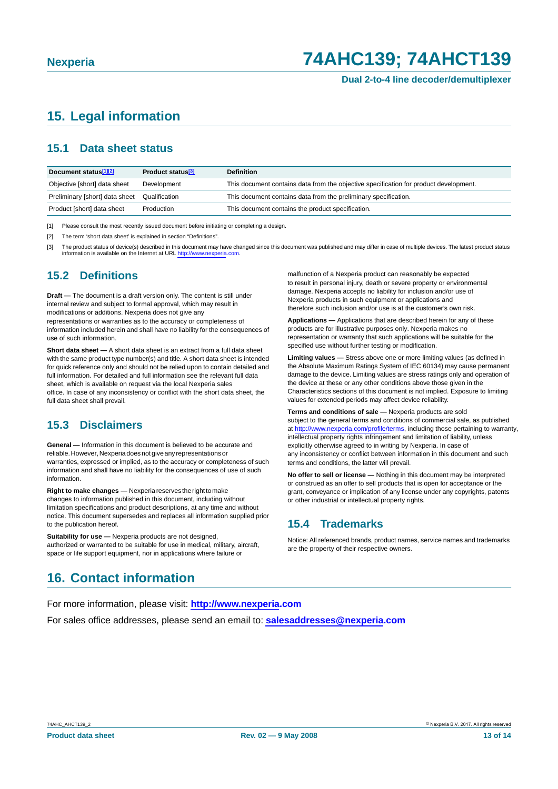**Dual 2-to-4 line decoder/demultiplexer**

## <span id="page-12-0"></span>**15. Legal information**

### <span id="page-12-1"></span>**15.1 Data sheet status**

| Document status <sup>[1][2]</sup> | Product status <sup>[3]</sup> | <b>Definition</b>                                                                     |
|-----------------------------------|-------------------------------|---------------------------------------------------------------------------------------|
| Objective [short] data sheet      | Development                   | This document contains data from the objective specification for product development. |
| Preliminary [short] data sheet    | Qualification                 | This document contains data from the preliminary specification.                       |
| Product [short] data sheet        | Production                    | This document contains the product specification.                                     |

[1] Please consult the most recently issued document before initiating or completing a design.

[2] The term 'short data sheet' is explained in section "Definitions"

The product status of device(s) described in this document may have changed since this document was published and may differ in case of multiple devices. The latest product status information is available on the Internet at URL http://www.nexperia.com.

#### <span id="page-12-2"></span>**15.2 Definitions**

**Draft —** The document is a draft version only. The content is still under internal review and subject to formal approval, which may result in modifications or additions. Nexperia does not give any representations or warranties as to the accuracy or completeness of

information included herein and shall have no liability for the consequences of use of such information.

**Short data sheet —** A short data sheet is an extract from a full data sheet with the same product type number(s) and title. A short data sheet is intended for quick reference only and should not be relied upon to contain detailed and full information. For detailed and full information see the relevant full data sheet, which is available on request via the local Nexperia sales office. In case of any inconsistency or conflict with the short data sheet, the full data sheet shall prevail.

#### <span id="page-12-3"></span>**15.3 Disclaimers**

**General —** Information in this document is believed to be accurate and reliable.However,Nexperiadoesnotgiveanyrepresentationsor warranties, expressed or implied, as to the accuracy or completeness of such information and shall have no liability for the consequences of use of such information.

**Right to make changes —** Nexperia reserves the right to make changes to information published in this document, including without limitation specifications and product descriptions, at any time and without notice. This document supersedes and replaces all information supplied prior to the publication hereof.

**Suitability for use —** Nexperia products are not designed, authorized or warranted to be suitable for use in medical, military, aircraft, space or life support equipment, nor in applications where failure or

malfunction of a Nexperia product can reasonably be expected to result in personal injury, death or severe property or environmental damage. Nexperia accepts no liability for inclusion and/or use of Nexperia products in such equipment or applications and therefore such inclusion and/or use is at the customer's own risk.

**Applications —** Applications that are described herein for any of these products are for illustrative purposes only. Nexperia makes no representation or warranty that such applications will be suitable for the specified use without further testing or modification.

**Limiting values —** Stress above one or more limiting values (as defined in the Absolute Maximum Ratings System of IEC 60134) may cause permanent damage to the device. Limiting values are stress ratings only and operation of the device at these or any other conditions above those given in the Characteristics sections of this document is not implied. Exposure to limiting values for extended periods may affect device reliability.

**Terms and conditions of sale —** Nexperia products are sold subject to the general terms and conditions of commercial sale, as published at http://www.nexperia.com/profile/terms, including those pertaining to warranty, intellectual property rights infringement and limitation of liability, unless explicitly otherwise agreed to in writing by Nexperia. In case of any inconsistency or conflict between information in this document and such terms and conditions, the latter will prevail.

**No offer to sell or license —** Nothing in this document may be interpreted or construed as an offer to sell products that is open for acceptance or the grant, conveyance or implication of any license under any copyrights, patents or other industrial or intellectual property rights.

#### <span id="page-12-4"></span>**15.4 Trademarks**

Notice: All referenced brands, product names, service names and trademarks are the property of their respective owners.

## <span id="page-12-5"></span>**16. Contact information**

For more information, please visit: **http://www.nexperia.com**

For sales office addresses, please send an email to: **salesaddresses@nexperia.com**

74AHC\_AHCT139\_2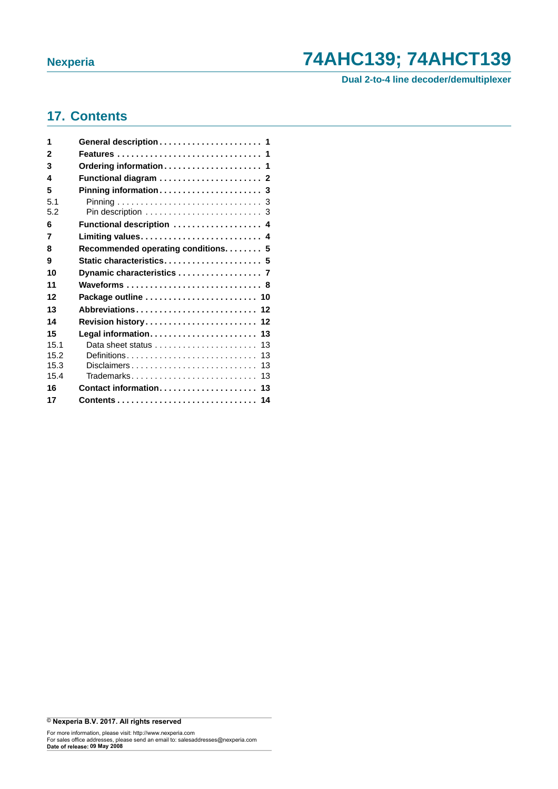**Dual 2-to-4 line decoder/demultiplexer**

### <span id="page-13-0"></span>**17. Contents**

| 1    | General description 1              |
|------|------------------------------------|
| 2    | Features  1                        |
| 3    | Ordering information 1             |
| 4    |                                    |
| 5    |                                    |
| 5.1  |                                    |
| 5.2  |                                    |
| 6    | Functional description  4          |
| 7    | Limiting values 4                  |
| 8    | Recommended operating conditions 5 |
| 9    | Static characteristics 5           |
| 10   | Dynamic characteristics  7         |
| 11   | Waveforms  8                       |
| 12   | Package outline  10                |
| 13   | Abbreviations 12                   |
| 14   | Revision history 12                |
| 15   |                                    |
| 15.1 | 13                                 |
| 15.2 | Definitions<br>13                  |
| 15.3 | Disclaimers<br>13                  |
| 15.4 | Trademarks<br>13                   |
| 16   | Contact information 13             |
| 17   | Contents 14                        |